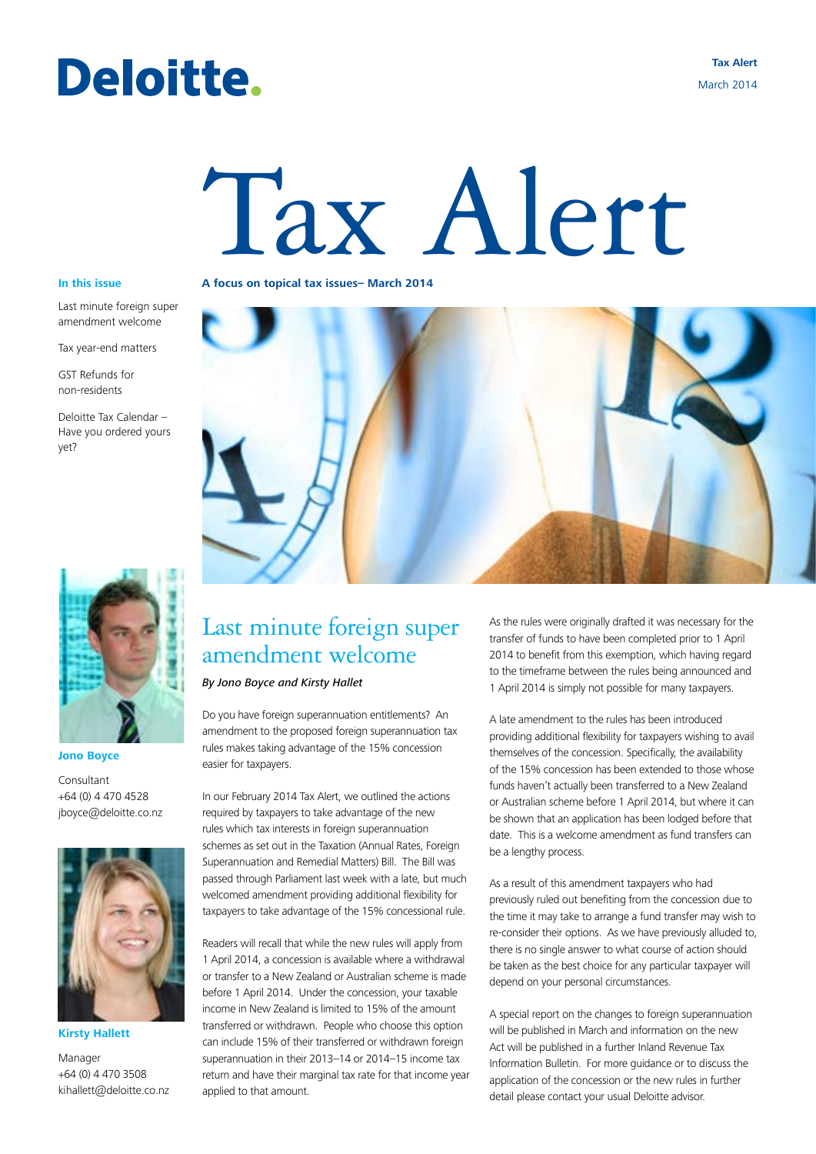# Deloitte.

**Tax Alert** March 2014

# Tax Alert

Last minute foreign super amendment welcome

Tax year-end matters

GST Refunds for non-residents

Deloitte Tax Calendar – Have you ordered yours yet?



**Jono Boyce**

Consultant +64 (0) 4 470 4528 jboyce@deloitte.co.nz



**Kirsty Hallett**

Manager +64 (0) 4 470 3508 kihallett@deloitte.co.nz

**In this issue A focus on topical tax issues– March 2014**



# Last minute foreign super amendment welcome

*By Jono Boyce and Kirsty Hallet*

Do you have foreign superannuation entitlements? An amendment to the proposed foreign superannuation tax rules makes taking advantage of the 15% concession easier for taxpayers.

In our February 2014 Tax Alert, we outlined the actions required by taxpayers to take advantage of the new rules which tax interests in foreign superannuation schemes as set out in the Taxation (Annual Rates, Foreign Superannuation and Remedial Matters) Bill. The Bill was passed through Parliament last week with a late, but much welcomed amendment providing additional flexibility for taxpayers to take advantage of the 15% concessional rule.

Readers will recall that while the new rules will apply from 1 April 2014, a concession is available where a withdrawal or transfer to a New Zealand or Australian scheme is made before 1 April 2014. Under the concession, your taxable income in New Zealand is limited to 15% of the amount transferred or withdrawn. People who choose this option can include 15% of their transferred or withdrawn foreign superannuation in their 2013–14 or 2014–15 income tax return and have their marginal tax rate for that income year applied to that amount.

As the rules were originally drafted it was necessary for the transfer of funds to have been completed prior to 1 April 2014 to benefit from this exemption, which having regard to the timeframe between the rules being announced and 1 April 2014 is simply not possible for many taxpayers.

A late amendment to the rules has been introduced providing additional flexibility for taxpayers wishing to avail themselves of the concession. Specifically, the availability of the 15% concession has been extended to those whose funds haven't actually been transferred to a New Zealand or Australian scheme before 1 April 2014, but where it can be shown that an application has been lodged before that date. This is a welcome amendment as fund transfers can be a lengthy process.

As a result of this amendment taxpayers who had previously ruled out benefiting from the concession due to the time it may take to arrange a fund transfer may wish to re-consider their options. As we have previously alluded to, there is no single answer to what course of action should be taken as the best choice for any particular taxpayer will depend on your personal circumstances.

A special report on the changes to foreign superannuation will be published in March and information on the new Act will be published in a further Inland Revenue Tax Information Bulletin. For more guidance or to discuss the application of the concession or the new rules in further detail please contact your usual Deloitte advisor.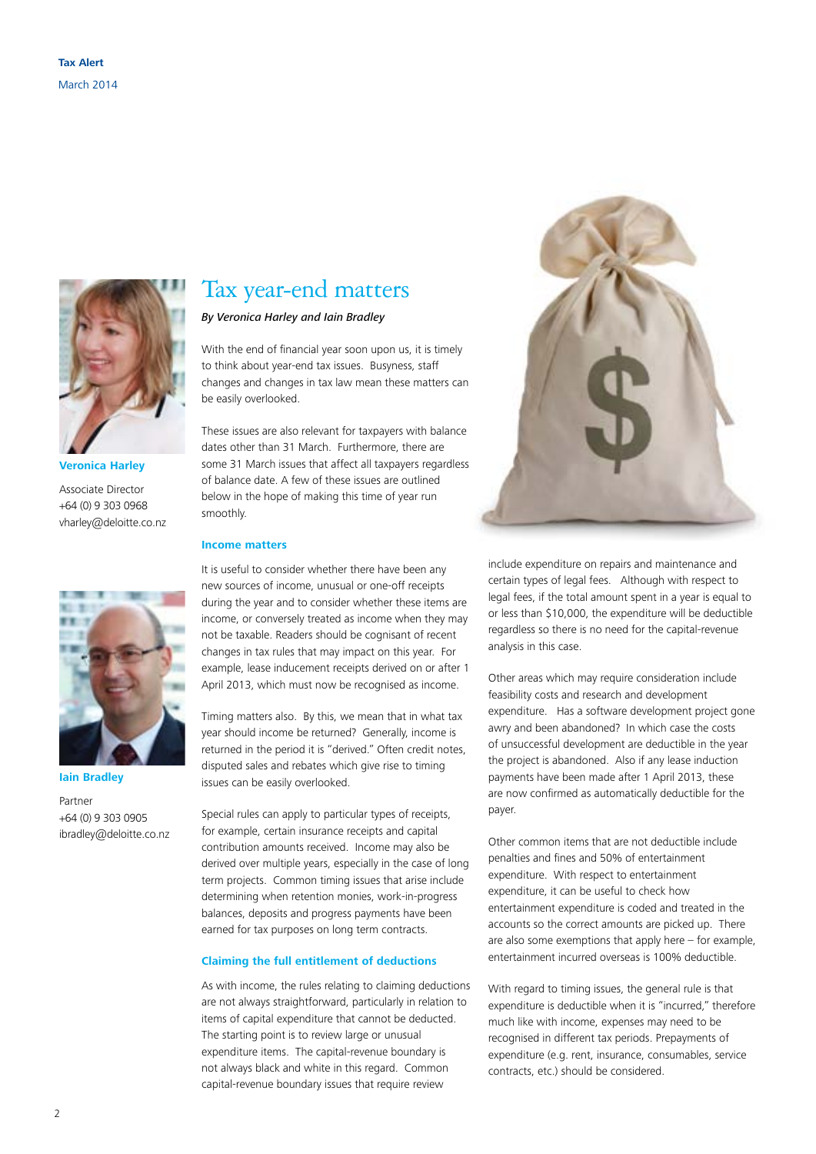

#### **Veronica Harley**

Associate Director +64 (0) 9 303 0968 vharley@deloitte.co.nz



**Iain Bradley**

Partner +64 (0) 9 303 0905 ibradley@deloitte.co.nz

# Tax year-end matters

#### *By Veronica Harley and Iain Bradley*

With the end of financial year soon upon us, it is timely to think about year-end tax issues. Busyness, staff changes and changes in tax law mean these matters can be easily overlooked.

These issues are also relevant for taxpayers with balance dates other than 31 March. Furthermore, there are some 31 March issues that affect all taxpayers regardless of balance date. A few of these issues are outlined below in the hope of making this time of year run smoothly.

#### **Income matters**

It is useful to consider whether there have been any new sources of income, unusual or one-off receipts during the year and to consider whether these items are income, or conversely treated as income when they may not be taxable. Readers should be cognisant of recent changes in tax rules that may impact on this year. For example, lease inducement receipts derived on or after 1 April 2013, which must now be recognised as income.

Timing matters also. By this, we mean that in what tax year should income be returned? Generally, income is returned in the period it is "derived." Often credit notes, disputed sales and rebates which give rise to timing issues can be easily overlooked.

Special rules can apply to particular types of receipts, for example, certain insurance receipts and capital contribution amounts received. Income may also be derived over multiple years, especially in the case of long term projects. Common timing issues that arise include determining when retention monies, work-in-progress balances, deposits and progress payments have been earned for tax purposes on long term contracts.

#### **Claiming the full entitlement of deductions**

As with income, the rules relating to claiming deductions are not always straightforward, particularly in relation to items of capital expenditure that cannot be deducted. The starting point is to review large or unusual expenditure items. The capital-revenue boundary is not always black and white in this regard. Common capital-revenue boundary issues that require review



include expenditure on repairs and maintenance and certain types of legal fees. Although with respect to legal fees, if the total amount spent in a year is equal to or less than \$10,000, the expenditure will be deductible regardless so there is no need for the capital-revenue analysis in this case.

Other areas which may require consideration include feasibility costs and research and development expenditure. Has a software development project gone awry and been abandoned? In which case the costs of unsuccessful development are deductible in the year the project is abandoned. Also if any lease induction payments have been made after 1 April 2013, these are now confirmed as automatically deductible for the payer.

Other common items that are not deductible include penalties and fines and 50% of entertainment expenditure. With respect to entertainment expenditure, it can be useful to check how entertainment expenditure is coded and treated in the accounts so the correct amounts are picked up. There are also some exemptions that apply here – for example, entertainment incurred overseas is 100% deductible.

With regard to timing issues, the general rule is that expenditure is deductible when it is "incurred," therefore much like with income, expenses may need to be recognised in different tax periods. Prepayments of expenditure (e.g. rent, insurance, consumables, service contracts, etc.) should be considered.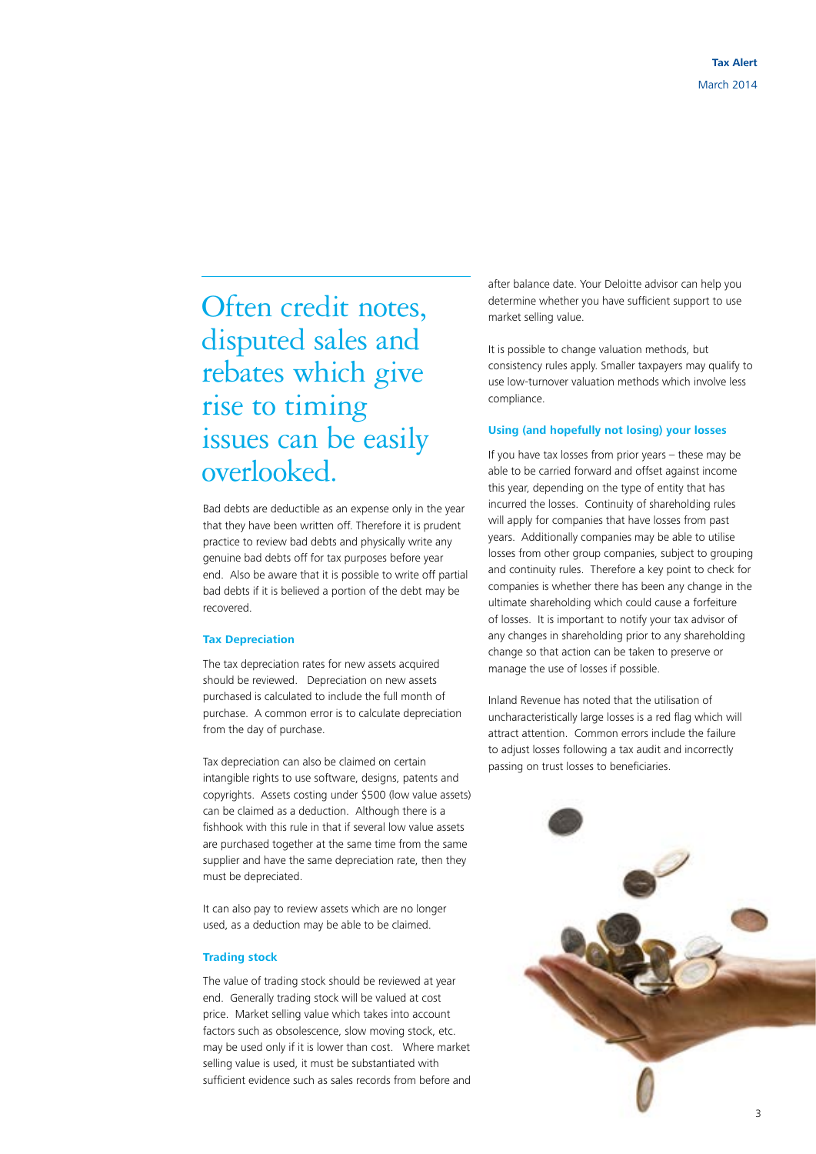Often credit notes, disputed sales and rebates which give rise to timing issues can be easily overlooked.

Bad debts are deductible as an expense only in the year that they have been written off. Therefore it is prudent practice to review bad debts and physically write any genuine bad debts off for tax purposes before year end. Also be aware that it is possible to write off partial bad debts if it is believed a portion of the debt may be recovered.

#### **Tax Depreciation**

The tax depreciation rates for new assets acquired should be reviewed. Depreciation on new assets purchased is calculated to include the full month of purchase. A common error is to calculate depreciation from the day of purchase.

Tax depreciation can also be claimed on certain intangible rights to use software, designs, patents and copyrights. Assets costing under \$500 (low value assets) can be claimed as a deduction. Although there is a fishhook with this rule in that if several low value assets are purchased together at the same time from the same supplier and have the same depreciation rate, then they must be depreciated.

It can also pay to review assets which are no longer used, as a deduction may be able to be claimed.

#### **Trading stock**

The value of trading stock should be reviewed at year end. Generally trading stock will be valued at cost price. Market selling value which takes into account factors such as obsolescence, slow moving stock, etc. may be used only if it is lower than cost. Where market selling value is used, it must be substantiated with sufficient evidence such as sales records from before and after balance date. Your Deloitte advisor can help you determine whether you have sufficient support to use market selling value.

It is possible to change valuation methods, but consistency rules apply. Smaller taxpayers may qualify to use low-turnover valuation methods which involve less compliance.

#### **Using (and hopefully not losing) your losses**

If you have tax losses from prior years – these may be able to be carried forward and offset against income this year, depending on the type of entity that has incurred the losses. Continuity of shareholding rules will apply for companies that have losses from past years. Additionally companies may be able to utilise losses from other group companies, subject to grouping and continuity rules. Therefore a key point to check for companies is whether there has been any change in the ultimate shareholding which could cause a forfeiture of losses. It is important to notify your tax advisor of any changes in shareholding prior to any shareholding change so that action can be taken to preserve or manage the use of losses if possible.

Inland Revenue has noted that the utilisation of uncharacteristically large losses is a red flag which will attract attention. Common errors include the failure to adjust losses following a tax audit and incorrectly passing on trust losses to beneficiaries.

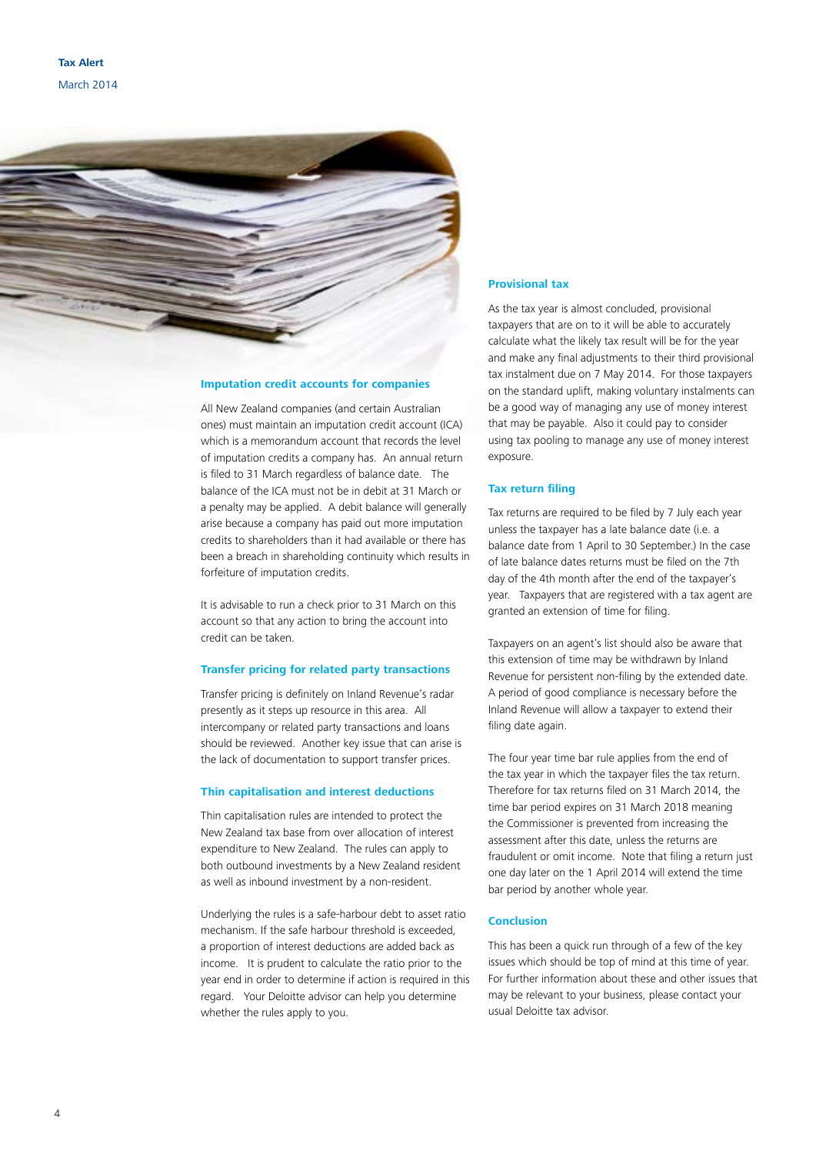

#### **Imputation credit accounts for companies**

All New Zealand companies (and certain Australian ones) must maintain an imputation credit account (ICA) which is a memorandum account that records the level of imputation credits a company has. An annual return is filed to 31 March regardless of balance date. The balance of the ICA must not be in debit at 31 March or a penalty may be applied. A debit balance will generally arise because a company has paid out more imputation credits to shareholders than it had available or there has been a breach in shareholding continuity which results in forfeiture of imputation credits.

It is advisable to run a check prior to 31 March on this account so that any action to bring the account into credit can be taken.

#### **Transfer pricing for related party transactions**

Transfer pricing is definitely on Inland Revenue's radar presently as it steps up resource in this area. All intercompany or related party transactions and loans should be reviewed. Another key issue that can arise is the lack of documentation to support transfer prices.

#### **Thin capitalisation and interest deductions**

Thin capitalisation rules are intended to protect the New Zealand tax base from over allocation of interest expenditure to New Zealand. The rules can apply to both outbound investments by a New Zealand resident as well as inbound investment by a non-resident.

Underlying the rules is a safe-harbour debt to asset ratio mechanism. If the safe harbour threshold is exceeded, a proportion of interest deductions are added back as income. It is prudent to calculate the ratio prior to the year end in order to determine if action is required in this regard. Your Deloitte advisor can help you determine whether the rules apply to you.

#### **Provisional tax**

As the tax year is almost concluded, provisional taxpayers that are on to it will be able to accurately calculate what the likely tax result will be for the year and make any final adjustments to their third provisional tax instalment due on 7 May 2014. For those taxpayers on the standard uplift, making voluntary instalments can be a good way of managing any use of money interest that may be payable. Also it could pay to consider using tax pooling to manage any use of money interest exposure.

#### **Tax return filing**

Tax returns are required to be filed by 7 July each year unless the taxpayer has a late balance date (i.e. a balance date from 1 April to 30 September.) In the case of late balance dates returns must be filed on the 7th day of the 4th month after the end of the taxpayer's year. Taxpayers that are registered with a tax agent are granted an extension of time for filing.

Taxpayers on an agent's list should also be aware that this extension of time may be withdrawn by Inland Revenue for persistent non-filing by the extended date. A period of good compliance is necessary before the Inland Revenue will allow a taxpayer to extend their filing date again.

The four year time bar rule applies from the end of the tax year in which the taxpayer files the tax return. Therefore for tax returns filed on 31 March 2014, the time bar period expires on 31 March 2018 meaning the Commissioner is prevented from increasing the assessment after this date, unless the returns are fraudulent or omit income. Note that filing a return just one day later on the 1 April 2014 will extend the time bar period by another whole year.

#### **Conclusion**

This has been a quick run through of a few of the key issues which should be top of mind at this time of year. For further information about these and other issues that may be relevant to your business, please contact your usual Deloitte tax advisor.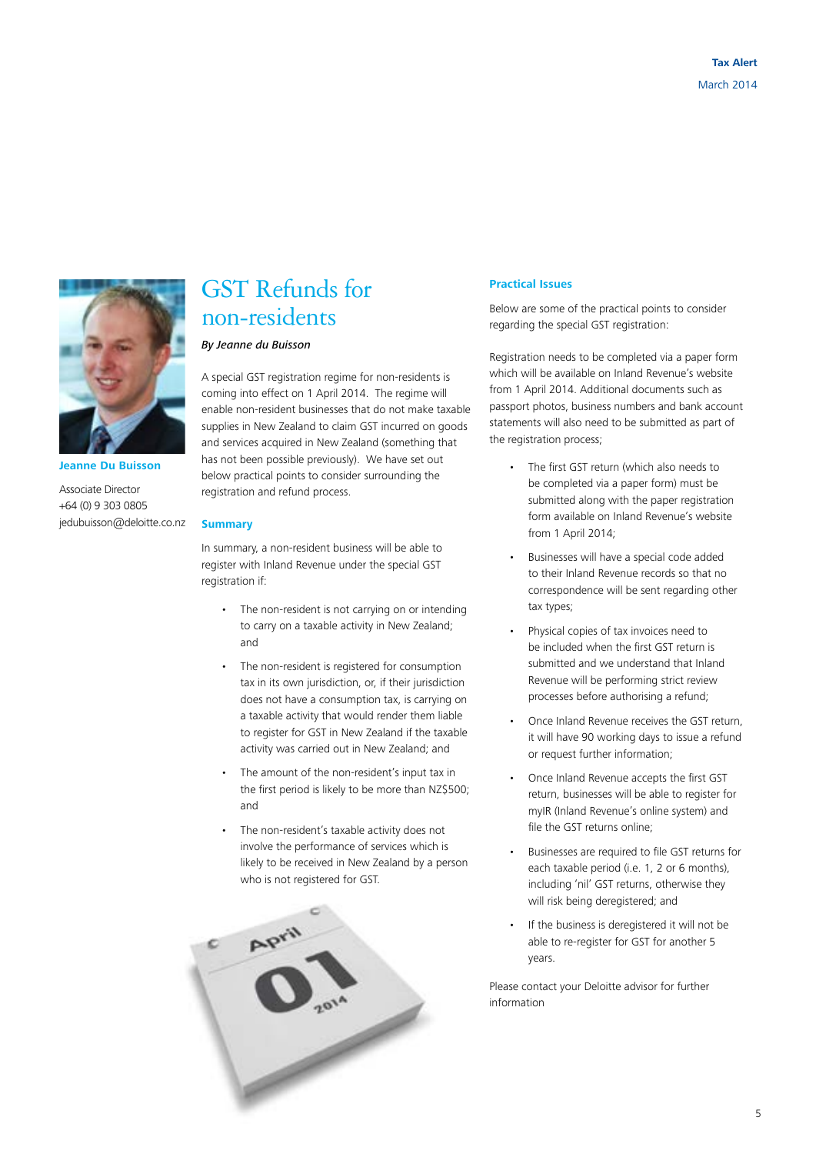

**Jeanne Du Buisson**

Associate Director +64 (0) 9 303 0805 jedubuisson@deloitte.co.nz

### GST Refunds for non-residents

#### *By Jeanne du Buisson*

A special GST registration regime for non-residents is coming into effect on 1 April 2014. The regime will enable non-resident businesses that do not make taxable supplies in New Zealand to claim GST incurred on goods and services acquired in New Zealand (something that has not been possible previously). We have set out below practical points to consider surrounding the registration and refund process.

#### **Summary**

In summary, a non-resident business will be able to register with Inland Revenue under the special GST registration if:

- The non-resident is not carrying on or intending to carry on a taxable activity in New Zealand; and
- The non-resident is registered for consumption tax in its own jurisdiction, or, if their jurisdiction does not have a consumption tax, is carrying on a taxable activity that would render them liable to register for GST in New Zealand if the taxable activity was carried out in New Zealand; and
- The amount of the non-resident's input tax in the first period is likely to be more than NZ\$500; and
- The non-resident's taxable activity does not involve the performance of services which is likely to be received in New Zealand by a person who is not registered for GST.



#### **Practical Issues**

Below are some of the practical points to consider regarding the special GST registration:

Registration needs to be completed via a paper form which will be available on Inland Revenue's website from 1 April 2014. Additional documents such as passport photos, business numbers and bank account statements will also need to be submitted as part of the registration process;

- The first GST return (which also needs to be completed via a paper form) must be submitted along with the paper registration form available on Inland Revenue's website from 1 April 2014;
- Businesses will have a special code added to their Inland Revenue records so that no correspondence will be sent regarding other tax types;
- Physical copies of tax invoices need to be included when the first GST return is submitted and we understand that Inland Revenue will be performing strict review processes before authorising a refund;
- Once Inland Revenue receives the GST return, it will have 90 working days to issue a refund or request further information;
- Once Inland Revenue accepts the first GST return, businesses will be able to register for myIR (Inland Revenue's online system) and file the GST returns online;
- Businesses are required to file GST returns for each taxable period (i.e. 1, 2 or 6 months), including 'nil' GST returns, otherwise they will risk being deregistered; and
- If the business is deregistered it will not be able to re-register for GST for another 5 years.

Please contact your Deloitte advisor for further information